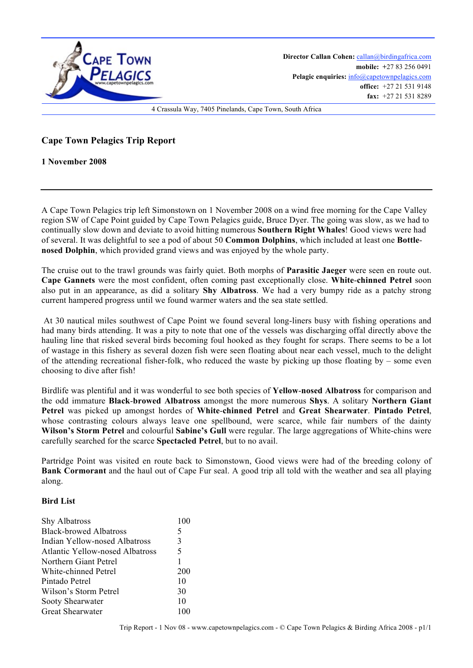

**Director Callan Cohen:** callan@birdingafrica.com **mobile: +**27 83 256 0491 Pelagic enquiries:  $info@capctownpelagics.com$ **office:** +27 21 531 9148 **fax:** +27 21 531 8289

4 Crassula Way, 7405 Pinelands, Cape Town, South Africa

**Cape Town Pelagics Trip Report** 

**1 November 2008**

A Cape Town Pelagics trip left Simonstown on 1 November 2008 on a wind free morning for the Cape Valley region SW of Cape Point guided by Cape Town Pelagics guide, Bruce Dyer. The going was slow, as we had to continually slow down and deviate to avoid hitting numerous **Southern Right Whales**! Good views were had of several. It was delightful to see a pod of about 50 **Common Dolphins**, which included at least one **Bottlenosed Dolphin**, which provided grand views and was enjoyed by the whole party.

The cruise out to the trawl grounds was fairly quiet. Both morphs of **Parasitic Jaeger** were seen en route out. **Cape Gannets** were the most confident, often coming past exceptionally close. **White**-**chinned Petrel** soon also put in an appearance, as did a solitary **Shy Albatross**. We had a very bumpy ride as a patchy strong current hampered progress until we found warmer waters and the sea state settled.

 At 30 nautical miles southwest of Cape Point we found several long-liners busy with fishing operations and had many birds attending. It was a pity to note that one of the vessels was discharging offal directly above the hauling line that risked several birds becoming foul hooked as they fought for scraps. There seems to be a lot of wastage in this fishery as several dozen fish were seen floating about near each vessel, much to the delight of the attending recreational fisher-folk, who reduced the waste by picking up those floating by – some even choosing to dive after fish!

Birdlife was plentiful and it was wonderful to see both species of **Yellow**-**nosed Albatross** for comparison and the odd immature **Black**-**browed Albatross** amongst the more numerous **Shys**. A solitary **Northern Giant Petrel** was picked up amongst hordes of **White**-**chinned Petrel** and **Great Shearwater**. **Pintado Petrel**, whose contrasting colours always leave one spellbound, were scarce, while fair numbers of the dainty **Wilson's Storm Petrel** and colourful **Sabine's Gull** were regular. The large aggregations of White-chins were carefully searched for the scarce **Spectacled Petrel**, but to no avail.

Partridge Point was visited en route back to Simonstown, Good views were had of the breeding colony of **Bank Cormorant** and the haul out of Cape Fur seal. A good trip all told with the weather and sea all playing along.

## **Bird List**

| Shy Albatross                          | 100 |
|----------------------------------------|-----|
| <b>Black-browed Albatross</b>          | 5   |
| Indian Yellow-nosed Albatross          | 3   |
| <b>Atlantic Yellow-nosed Albatross</b> | 5   |
| Northern Giant Petrel                  | 1   |
| White-chinned Petrel                   | 200 |
| Pintado Petrel                         | 10  |
| Wilson's Storm Petrel                  | 30  |
| Sooty Shearwater                       | 10  |
| Great Shearwater                       | 100 |